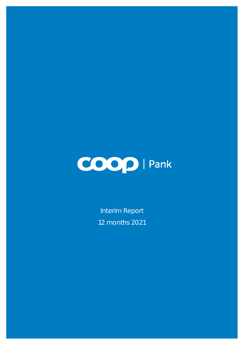

Interim Report 12 months 2021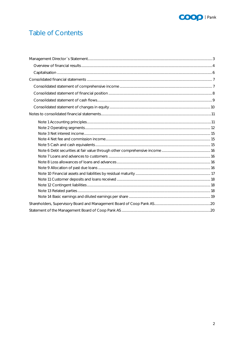

# **Table of Contents**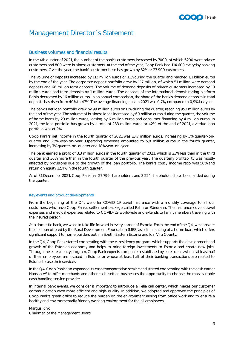#### **D** Pank

## <span id="page-2-0"></span>Management Director´s Statement

#### Business volumes and financial results

In the 4th quarter of 2021, the number of the bank's customers increased by 7000, of which 6200 were private customers and 800 were business customers. At the end of the year, Coop Pank had 114 600 everyday banking customers. Over the year, the bank's customer base has grown by 32% or 27 900 customers.

The volume of deposits increased by 112 million euros or 11% during the quarter and reached 1,1 billion euros by the end of the year. The corporate deposit portfolio grew by 117 million, of which 51 million were demand deposits and 66 million term deposits. The volume of demand deposits of private customers increased by 10 million euros and term deposits by 1 million euros. The deposits of the international deposit raising platform Raisin decreased by 16 million euros. In an annual comparison, the share of the bank's demand deposits in total deposits has risen from 40% to 47%. The average financing cost in 2021 was 0,7%, compared to 0,9% last year.

The bank's net loan portfolio grew by 99 million euros or 12% during the quarter, reaching 953 million euros by the end of the year. The volume of business loans increased by 60 million euros during the quarter, the volume of home loans by 29 million euros, leasing by 6 million euros and consumer financing by 4 million euros. In 2021, the loan portfolio has grown by a total of 283 million euros or 42%. At the end of 2021, overdue loan portfolio was at 2%.

Coop Pank's net income in the fourth quarter of 2021 was 10,7 million euros, increasing by 3% quarter-onquarter and 25% year-on-year. Operating expenses amounted to 5,8 million euros in the fourth quarter, increasing by 7% quarter-on-quarter and 18% year-on-year.

The bank earned a profit of 3,3 million euros in the fourth quarter of 2021, which is 23% less than in the third quarter and 36% more than in the fourth quarter of the previous year. The quarterly profitability was mostly affected by provisions due to the growth of the loan portfolio. The bank's cost / income ratio was 58% and return on equity 12,4% in the fourth quarter.

As of 31 December 2021, Coop Pank has 27 799 shareholders, and 3 224 shareholders have been added during the quarter.

#### Key events and product developments

From the beginning of the Q4, we offer COVID-19 travel insurance with a monthly coverage to all our customers, who have Coop Pank's settlement package called Rahn or Rändrahn. The insurance covers travel expenses and medical expenses related to COVID-19 worldwide and extends to family members traveling with the insured person.

As a domestic bank, we want to take life forward in every corner of Estonia. From the end of the Q4, we consider the co-loan offered by the Rural Development Foundation (MES) as self-financing of a home loan, which offers significant support to home builders both in South-Eastern Estonia and Ida-Viru County.

In the Q4, Coop Pank started cooperating with the e-residency program, which supports the development and growth of the Estonian economy and helps to bring foreign investments to Estonia and create new jobs. Through the e-residency program, Coop Pank expects companies established by e-residents whose at least half of their employees are located in Estonia or whose at least half of their banking transactions are related to Estonia to use their services.

In the Q4, Coop Pank also expanded its cash transportation service and started cooperating with the cash carrier Hansab AS to offer merchants and other cash-settled businesses the opportunity to choose the most suitable cash handling service provider.

In internal bank events, we consider it important to introduce a Telia call center, which makes our customer communication even more efficient and high-quality. In addition, we adopted and approved the principles of Coop Pank's green office to reduce the burden on the environment arising from office work and to ensure a healthy and environmentally friendly working environment for the all employees.

Margus Rink Chairman of the Management Board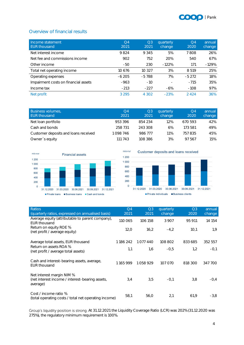

#### <span id="page-3-0"></span>Overview of financial results

| Income statement<br><b>EUR thousand</b> | O <sub>4</sub><br>2021 | Q <sub>3</sub><br>2021 | quarterly<br>change | O <sub>4</sub><br>2020 | annual<br>change |
|-----------------------------------------|------------------------|------------------------|---------------------|------------------------|------------------|
| Net interest income                     | 9824                   | 9 3 4 5                | 5%                  | 7808                   | 26%              |
| Net fee and commissions income          | 902                    | 752                    | 20%                 | 540                    | 67%              |
| Other income                            | $-50$                  | 230                    | $-122%$             | 171                    | $-129%$          |
| Total net operating income              | 10 676                 | 10 3 27                | 3%                  | 8519                   | 25%              |
| Operating expenses                      | $-6205$                | $-5788$                | 7%                  | $-5272$                | 18%              |
| Impairment costs on financial assets    | $-963$                 | $-10$                  |                     | $-715$                 | 35%              |
| Income tax                              | $-213$                 | $-227$                 | $-6%$               | $-108$                 | 97%              |
| Net profit                              | 3 2 9 5                | 4 302                  | $-23%$              | 2424                   | 36%              |

| <b>Business volumes</b> ,<br>EUR thousand | O4<br>2021 | Q3<br>2021 | quarterly<br>change | O4<br>2020 | annual<br>change |
|-------------------------------------------|------------|------------|---------------------|------------|------------------|
| Net Ioan portfolio                        | 953396     | 854 234    | 12%                 | 670 593    | 42%              |
| Cash and bonds                            | 258 731    | 243308     | 6%                  | 173 581    | 49%              |
| Customer deposits and loans received      | 1098746    | 986 777    | 11%                 | 757835     | 45%              |
| Owner's equity                            | 111 743    | 108 386    | 3%                  | 97.567     | 15%              |





| Ratios<br>(quarterly ratios, expressed on annualised basis)                              | Q <sub>4</sub><br>2021 | Q <sub>3</sub><br>2021 | quarterly<br>change | Q <sub>3</sub><br>2020 | annual<br>change |
|------------------------------------------------------------------------------------------|------------------------|------------------------|---------------------|------------------------|------------------|
| Average equity (attributable to parent company),<br><b>EUR thousand</b>                  | 110 065                | 106 158                | 3 9 0 7             | 95 911                 | 14 154           |
| Return on equity ROE %<br>(net profit / average equity)                                  | 12,0                   | 16.2                   | $-4,2$              | 10.1                   | 1,9              |
| Average total assets, EUR thousand                                                       | 1186242                | 1077440                | 108 802             | 833 685                | 352 557          |
| Return on assets ROA %<br>(net profit / average total assets)                            | 1,1                    | 1,6                    | $-0.5$              | 1,2                    | $-0.1$           |
| Cash and interest-bearing assets, average,<br><b>EUR thousand</b>                        | 1165999                | 1058929                | 107 070             | 818 300                | 347 700          |
| Net interest margin NIM %<br>(net interest income / interest-bearing assets,<br>average) | 3,4                    | 3,5                    | $-0,1$              | 3,8                    | $-0.4$           |
| Cost / income ratio %<br>(total operating costs / total net operating income)            | 58,1                   | 56,0                   | 2,1                 | 61,9                   | $-3,8$           |

Group's liquidity position is strong. At 31.12.2021 the Liquidity Coverage Ratio (LCR) was 202% (31.12.2020 was 275%), the regulatory minimum requirement is 100%.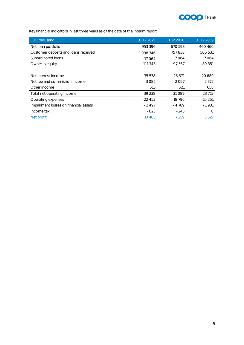

Key financial indicators in last three years as of the date of the interim report

| <b>EUR thousand</b>                   | 31.12.2021 | 31.12.2020 | 31.12.2019 |
|---------------------------------------|------------|------------|------------|
| Net Ioan portfolio                    | 953 396    | 670 593    | 460 460    |
| Customer deposits and loans received  | 1098746    | 757838     | 506 531    |
| Subordinated Ioans                    | 17064      | 7064       | 7064       |
| Owner's equity                        | 111 743    | 97 567     | 89 351     |
|                                       |            |            |            |
| Net interest income                   | 35 538     | 28 371     | 20 689     |
| Net fee and commission income         | 3085       | 2097       | 2 3 7 2    |
| Other income                          | 615        | 621        | 658        |
| Total net operating income            | 39 238     | 31 0 89    | 23 719     |
| Operating expenses                    | $-22453$   | $-18796$   | $-16261$   |
| Impairment losses on financial assets | $-2497$    | $-4789$    | $-1931$    |
| Income tax                            | $-825$     | $-245$     | $\Omega$   |
| Net profit                            | 13 4 6 3   | 7 2 5 9    | 5 5 2 7    |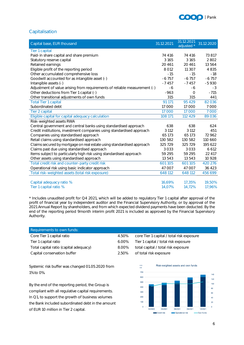

#### <span id="page-5-0"></span>Capitalisation

| Capital base, EUR thousand                                                | 31.12.2021 | 31.12.2021<br>adjusted * | 31.12.2020 |
|---------------------------------------------------------------------------|------------|--------------------------|------------|
| Tier 1 capital                                                            |            |                          |            |
| Paid-in share capital and share premium                                   | 74 416     | 74 416                   | 73 817     |
| Statutory reserve capital                                                 | 3 1 6 5    | 3 1 6 5                  | 2802       |
| Retained earnings                                                         | 20 4 61    | 20 4 61                  | 13 564     |
| Eligible profit of the reporting period                                   | 8 0 1 2    | 11 307                   | 4835       |
| Other accumulated comprehensive loss                                      | $-15$      | $-15$                    | $-18$      |
| Goodwill accounted for as intangible asset (-)                            | $-6757$    | $-6757$                  | $-6757$    |
| Intangible assets (-)                                                     | $-7457$    | $-7457$                  | $-5930$    |
| Adjustment of value arising from requirements of reliable measurement (-) | -6         | -6                       | $-3$       |
| Other deductions from Tier 1 capital (-)                                  | $-963$     | $\Omega$                 | $-715$     |
| Other transitional adjustments of own funds                               | 315        | 315                      | 441        |
| <b>Total Tier 1 capital</b>                                               | 91 171     | 95 429                   | 82036      |
| Subordinated debt                                                         | 17 000     | 17000                    | 7000       |
| Tier 2 capital                                                            | 17 000     | 17 000                   | 7 0 0 0    |
| Eligible capital for capital adequacy calculation                         | 108 171    | 112 429                  | 89036      |
| Risk-weighted assets RWA                                                  |            |                          |            |
| Central government and central banks using standardised approach          | 638        | 638                      | 624        |
| Credit institutions, investment companies using standardised approach     | 3 1 1 2    | 3 1 1 2                  | 451        |
| Companies using standardised approach                                     | 65 173     | 65 173                   | 72 962     |
| Retail claims using standardised approach                                 | 130 582    | 130 582                  | 110 660    |
| Claims secured by mortgage on real estate using standardised approach     | 325 729    | 325 729                  | 195 622    |
| Claims past due using standardised approach                               | 3033       | 3 0 3 3                  | 6 6 12     |
| Items subject to particularly high risk using standardised approach       | 59 295     | 59 295                   | 22 417     |
| Other assets using standardised approach                                  | 13 543     | 13 543                   | 10 9 28    |
| Total credit risk and counter-party credit risk                           | 601 105    | 601 105                  | 420 276    |
| Operational risk using basic indicator approach                           | 47 007     | 47 007                   | 36 423     |
| Total risk-weighted assets (total risk exposure)                          | 648 112    | 648 112                  | 456 699    |
| Capital adequacy ratio %                                                  | 16,69%     | 17,35%                   | 19,50%     |
| Tier 1 capital ratio %                                                    | 14,07%     | 14,72%                   | 17,96%     |

\* Includes unaudited profit for Q4 2021, which will be added to regulatory Tier 1 capital after approval of the profit of financial year by independent auditor and the Financial Supervisory Authority, or by approval of the 2021 Annual Report by shareholders, and from which expected dividend payments have been deducted. By the end of the reporting period 9month interim profit 2021 is included as approved by the Financial Supervisory Authority.

| Requirements to own funds:             |       |                                           |
|----------------------------------------|-------|-------------------------------------------|
| Core Tier 1 capital ratio              | 4.50% | core Tier 1 capital / total risk exposure |
| Tier 1 capital ratio                   | 6.00% | Tier 1 capital / total risk exposure      |
| Total capital ratio (capital adequacy) | 8.00% | total capital / total risk exposure       |
| Capital conservation buffer            | 2.50% | of total risk exposure                    |

Systemic risk buffer was changed 01.05.2020 from 1% to 0%.

By the end of the reporting period, the Group is compliant with all regulative capital requirements. In Q1, to support the growth of business volumes the Bank included subordinated debt in the amount of EUR 10 million in Tier 2 capital.

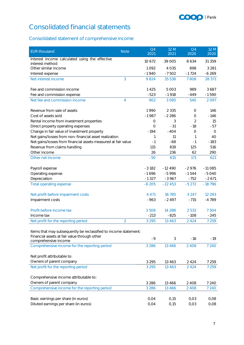

# <span id="page-6-0"></span>Consolidated financial statements

### <span id="page-6-1"></span>Consolidated statement of comprehensive income

| <b>EUR thousand</b>                                              | <b>Note</b>    | Q <sub>4</sub><br>2021 | 12 M<br>2021 | Q <sub>4</sub><br>2020 | 12 M<br>2020       |
|------------------------------------------------------------------|----------------|------------------------|--------------|------------------------|--------------------|
| Interest income calculated using the effective                   |                | 10 672                 | 39 005       | 8634                   | 31 359             |
| interest method                                                  |                |                        | 4 0 3 5      | 898                    |                    |
| Other similar income                                             |                | 1092<br>$-1940$        | $-7502$      | $-1724$                | 3 2 8 1<br>$-6269$ |
| Interest expense<br>Net interest income                          | 3              | 9824                   | 35 538       | 7808                   | 28 371             |
|                                                                  |                |                        |              |                        |                    |
| Fee and commission income                                        |                | 1425                   | 5 0 0 3      | 989                    | 3687               |
| Fee and commission expense                                       |                | $-523$                 | $-1918$      | $-449$                 | $-1590$            |
| Net fee and commission income                                    | 4              | 902                    | 3 0 8 5      | 540                    | 2097               |
| Revenue from sale of assets                                      |                | 1990                   | 2 3 3 5      | 0                      | 146                |
| Cost of assets sold                                              |                | $-1987$                | $-2286$      | $\overline{O}$         | $-146$             |
| Rental income from investment properties                         |                | 0                      | 3            | 2                      | 15                 |
| Direct property operating expenses                               |                | 0                      | $-31$        | $-18$                  | -57                |
| Change in fair value of investment property                      |                | $-194$                 | $-404$       | 0                      | $\circ$            |
| Net gains/losses from non-financial asset realization            |                | 1                      | 11           | 1                      | 40                 |
| Net gains/losses from financial assets measured at fair value    |                | $-1$                   | $-68$        | $-1$                   | $-183$             |
| Revenue from claims handling                                     |                | 115                    | 819          | 125                    | 516                |
| Other income                                                     |                | 26                     | 236          | 62                     | 290                |
| Other net income                                                 |                | $-50$                  | 615          | 171                    | 621                |
|                                                                  |                |                        |              |                        |                    |
| Payroll expense                                                  |                | $-3182$                | $-12490$     | $-2976$                | $-11085$           |
| Operating expense                                                |                | $-1696$                | $-5996$      | $-1544$                | $-5040$            |
| Depreciation                                                     |                | $-1327$                | $-3967$      | $-752$                 | $-2671$            |
| Total operating expense                                          |                | $-6205$                | $-22453$     | $-5272$                | $-18796$           |
| Net profit before impairment costs                               |                | 4 4 7 1                | 16 7 85      | 3 2 4 7                | 12 2 9 3           |
| Impairment costs                                                 |                | $-963$                 | $-2497$      | $-715$                 | $-4789$            |
|                                                                  |                |                        |              |                        |                    |
| Profit before income tax                                         |                | 3508                   | 14 288       | 2532                   | 7504               |
| Income tax                                                       |                | $-213$                 | $-825$       | $-108$                 | $-245$             |
| Net profit for the reporting period                              | $\overline{2}$ | 3 2 9 5                | 13 4 6 3     | 2 4 2 4                | 7 2 5 9            |
| Items that may subsequently be reclassified to income statement: |                |                        |              |                        |                    |
| Financial assets at fair value through other                     |                |                        |              |                        |                    |
| comprehensive income                                             |                | $-9$                   | 3            | $-16$                  | $-19$              |
| Comprehensive income for the reporting period                    |                | 3 2 8 6                | 13 4 6 6     | 2 4 0 8                | 7 2 4 0            |
| Net profit attributable to:                                      |                |                        |              |                        |                    |
| Owners of parent company                                         |                | 3 2 9 5                | 13 4 6 3     | 2 4 2 4                | 7 2 5 9            |
| Net profit for the reporting period                              |                | 3 2 9 5                | 13 4 6 3     | 2 4 2 4                | 7 2 5 9            |
|                                                                  |                |                        |              |                        |                    |
| Comprehensive income attributable to:                            |                |                        |              |                        |                    |
| Owners of parent company                                         |                | 3 2 8 6                | 13 4 6 6     | 2 4 0 8                | 7 2 4 0            |
| Comprehensive income for the reporting period                    |                | 3 2 8 6                | 13 4 6 6     | 2 4 0 8                | 7 2 4 0            |
| Basic earnings per share (in euros)                              |                | 0,04                   | 0,15         | 0,03                   | 0,08               |
| Diluted earnings per share (in euros)                            |                | 0,04                   | 0,15         | 0,03                   | 0,08               |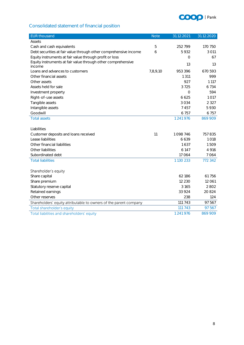

### <span id="page-7-0"></span>Consolidated statement of financial position

| <b>EUR thousand</b>                                               | <b>Note</b> | 31.12.2021 | 31.12.2020 |
|-------------------------------------------------------------------|-------------|------------|------------|
| Assets                                                            |             |            |            |
| Cash and cash equivalents                                         | 5           | 252799     | 170 750    |
| Debt securities at fair value through other comprehensive income  | 6           | 5932       | 3 0 1 1    |
| Equity instruments at fair value through profit or loss           |             | $\Omega$   | 67         |
| Equity instruments at fair value through other comprehensive      |             | 13         | 13         |
| income                                                            |             |            |            |
| Loans and advances to customers                                   | 7,8,9,10    | 953 396    | 670 593    |
| Other financial assets                                            |             | 1 3 1 1    | 999        |
| Other assets                                                      |             | 927        | 1 1 1 7    |
| Assets held for sale                                              |             | 3725       | 6734       |
| Investment property                                               |             | $\circ$    | 594        |
| Right-of-use assets                                               |             | 6 6 2 5    | 1017       |
| Tangible assets                                                   |             | 3034       | 2 3 2 7    |
| Intangible assets                                                 |             | 7457       | 5930       |
| Goodwill                                                          |             | 6757       | 6757       |
| <b>Total assets</b>                                               |             | 1241976    | 869 909    |
|                                                                   |             |            |            |
| Liabilities                                                       |             |            |            |
| Customer deposits and loans received                              | 11          | 1098746    | 757 835    |
| Lease liabilities                                                 |             | 6639       | 1018       |
| Other financial liabilities                                       |             | 1637       | 1509       |
| Other liabilities                                                 |             | 6 1 4 7    | 4 9 1 6    |
| Subordinated debt                                                 |             | 17 064     | 7064       |
| <b>Total liabilities</b>                                          |             | 1130 233   | 772 342    |
| Shareholder's equity                                              |             |            |            |
| Share capital                                                     |             | 62 186     | 61756      |
| Share premium                                                     |             | 12 2 3 0   | 12 0 61    |
|                                                                   |             | 3 1 6 5    | 2802       |
| Statutory reserve capital                                         |             | 33 9 24    | 20 824     |
| Retained earnings                                                 |             | 238        |            |
| Other reserves                                                    |             | 111 743    | 124        |
| Shareholders' equity attributable to owners of the parent company |             |            | 97 567     |
| Total shareholder's equity                                        |             | 111 743    | 97 567     |
| Total liabilities and shareholders' equity                        |             | 1 241 976  | 869 909    |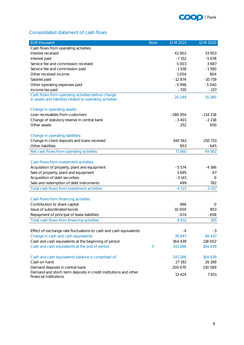

#### <span id="page-8-0"></span>Consolidated statement of cash flows

| <b>EUR thousand</b>                                                                                             | <b>Note</b> | 12 M 2021 | 12 M 2020 |
|-----------------------------------------------------------------------------------------------------------------|-------------|-----------|-----------|
| Cash flows from operating activities                                                                            |             |           |           |
| Interest received                                                                                               |             | 42 902    | 33 953    |
| Interest paid                                                                                                   |             | $-7152$   | $-5678$   |
| Service fee and commission received                                                                             |             | 5 0 0 3   | 3687      |
| Service fee and commission paid                                                                                 |             | $-1918$   | $-1590$   |
| Other received income                                                                                           |             | 1004      | 804       |
| Salaries paid                                                                                                   |             | $-12874$  | $-10719$  |
| Other operating expenses paid                                                                                   |             | $-5996$   | $-5040$   |
| Income tax paid                                                                                                 |             | $-720$    | $-137$    |
| Cash flows from operating activities before change<br>in assets and liabilities related to operating activities |             | 20 24 9   | 15 2 8 0  |
| Change in operating assets:                                                                                     |             |           |           |
| Loan receivables from customers                                                                                 |             | $-286954$ | $-214218$ |
| Change of statutory reserve in central bank                                                                     |             | $-3401$   | $-2218$   |
| Other assets                                                                                                    |             | 252       | 650       |
| Change in operating liabilities:                                                                                |             |           |           |
| Change in client deposits and loans received                                                                    |             | 340 561   | 250 713   |
| Other liabilities                                                                                               |             | 853       | $-645$    |
| Net cash flows from operating activities                                                                        |             | 71560     | 49 562    |
| Cash flows from investment activities                                                                           |             |           |           |
| Acquisition of property, plant and equipment                                                                    |             | $-5574$   | -4 166    |
| Sale of property, plant and equipment                                                                           |             | 3695      | 67        |
| Acquisition of debt securities                                                                                  |             | $-3141$   | $\Omega$  |
| Sale and redemption of debt instruments                                                                         |             | 499       | 782       |
| Total cash flows from investment activities                                                                     |             | $-4521$   | $-3317$   |
|                                                                                                                 |             |           |           |
| Cash flows from financing activities                                                                            |             |           |           |
| Contribution to share capital                                                                                   |             | 486       | 0         |
| Issue of subordinated bonds                                                                                     |             | 10 000    | 853       |
| Repayment of principal of lease liabilities                                                                     |             | $-674$    | $-658$    |
| Total cash flows from financing activities                                                                      |             | 9812      | 195       |
|                                                                                                                 |             |           |           |
| Effect of exchange rate fluctuations to cash and cash equivalents                                               |             | -4        | -3        |
| Change in cash and cash equivalents                                                                             |             | 76847     | 46 437    |
| Cash and cash equivalents at the beginning of period                                                            |             | 164 439   | 118 002   |
| Cash and cash equivalents at the end of period                                                                  | 5           | 241 286   | 164 439   |
| Cash and cash equivalents balance is comprised of:                                                              |             | 241 286   | 164 439   |
| Cash on hand                                                                                                    |             | 27 192    | 26 199    |
| Demand deposits in central bank                                                                                 |             | 200 670   | 130 589   |
| Demand and short-term deposits in credit institutions and other<br>financial institutions                       |             | 13 4 24   | 7651      |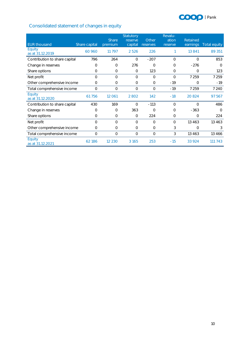

### <span id="page-9-0"></span>Consolidated statement of changes in equity

|                               |               | Share    | Statutory<br>reserve | Other    | Revalu-<br>ation | Retained |              |
|-------------------------------|---------------|----------|----------------------|----------|------------------|----------|--------------|
| <b>EUR thousand</b>           | Share capital | premium  | capital              | reserves | reserve          | earnings | Total equity |
| Equity<br>as at 31.12.2019    | 60 960        | 11 797   | 2526                 | 226      |                  | 13 841   | 89 351       |
| Contribution to share capital | 796           | 264      | $\circ$              | $-207$   | 0                | O        | 853          |
| Change in reserves            | 0             | 0        | 276                  | $\circ$  | 0                | $-276$   | $\Omega$     |
| Share options                 | 0             | 0        | $\circ$              | 123      | 0                | 0        | 123          |
| Net profit                    | $\Omega$      | $\Omega$ | $\Omega$             | $\Omega$ | $\Omega$         | 7 2 5 9  | 7 2 5 9      |
| Other comprehensive income    | 0             | 0        | $\Omega$             | $\circ$  | $-19$            | $\Omega$ | $-19$        |
| Total comprehensive income    | 0             | 0        | $\circ$              | 0        | $-19$            | 7 2 5 9  | 7 2 4 0      |
| Equity<br>as at 31.12.2020    | 61756         | 12 061   | 2 8 0 2              | 142      | $-18$            | 20824    | 97 567       |
| Contribution to share capital | 430           | 169      | $\Omega$             | $-113$   | $\circ$          | $\Omega$ | 486          |
| Change in reserves            | 0             | 0        | 363                  | $\circ$  | $\Omega$         | $-363$   | $\bigcap$    |
| Share options                 | 0             | $\Omega$ | $\Omega$             | 224      | 0                | $\Omega$ | 224          |
| Net profit                    | 0             | $\Omega$ | $\bigcap$            | $\Omega$ | 0                | 13 4 6 3 | 13 4 6 3     |
| Other comprehensive income    | $\Omega$      | 0        | $\Omega$             | $\circ$  | 3                | $\Omega$ | 3            |
| Total comprehensive income    | $\circ$       | 0        | $\Omega$             | $\circ$  | 3                | 13 4 6 3 | 13 4 6 6     |
| Equity<br>as at 31.12.2021    | 62186         | 12 2 3 0 | 3 1 6 5              | 253      | $-15$            | 33 924   | 743<br>111   |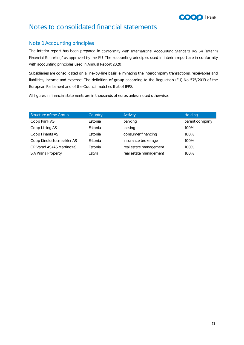

# <span id="page-10-0"></span>Notes to consolidated financial statements

#### <span id="page-10-1"></span>Note 1 Accounting principles

The interim report has been prepared in conformity with International Accounting Standard IAS 34 "Interim Financial Reporting" as approved by the EU. The accounting principles used in interim report are in conformity with accounting principles used in Annual Report 2020.

Subsidiaries are consolidated on a line-by-line basis, eliminating the intercompany transactions, receivables and liabilities, income and expense. The definition of group according to the Regulation (EU) No 575/2013 of the European Parliament and of the Council matches that of IFRS.

All figures in financial statements are in thousands of euros unless noted otherwise.

| Structure of the Group     | Country | Activity               | Holding        |
|----------------------------|---------|------------------------|----------------|
| Coop Pank AS               | Estonia | banking                | parent company |
| Coop Liising AS            | Estonia | leasing                | 100%           |
| Coop Finants AS            | Estonia | consumer financing     | 100%           |
| Coop Kindlustusmaakler AS  | Estonia | insurance brokerage    | 100%           |
| CP Varad AS (AS Martinoza) | Estonia | real estate management | 100%           |
| SIA Prana Property         | Latvia  | real estate management | 100%           |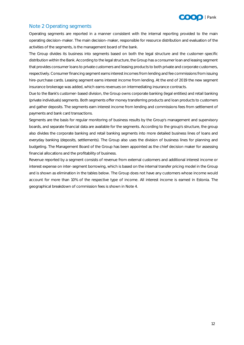

#### <span id="page-11-0"></span>Note 2 Operating segments

Operating segments are reported in a manner consistent with the internal reporting provided to the main operating decision-maker. The main decision-maker, responsible for resource distribution and evaluation of the activities of the segments, is the management board of the bank.

The Group divides its business into segments based on both the legal structure and the customer-specific distribution within the Bank. According to the legal structure, the Group has a consumer loan and leasing segment that provides consumer loans to private customers and leasing products to both private and corporate customers, respectively. Consumer financing segment earns interest incomes from lending and fee commissions from issuing hire-purchase cards. Leasing segment earns interest income from lending. At the end of 2019 the new segment insurance brokerage was added, which earns revenues on intermediating insurance contracts.

Due to the Bank's customer-based division, the Group owns corporate banking (legal entities) and retail banking (private individuals) segments. Both segments offer money transferring products and loan products to customers and gather deposits. The segments earn interest income from lending and commissions fees from settlement of payments and bank card transactions.

Segments are the basis for regular monitoring of business results by the Group's management and supervisory boards, and separate financial data are available for the segments. According to the group's structure, the group also divides the corporate banking and retail banking segments into more detailed business lines of loans and everyday banking (deposits, settlements). The Group also uses the division of business lines for planning and budgeting. The Management Board of the Group has been appointed as the chief decision maker for assessing financial allocations and the profitability of business.

Revenue reported by a segment consists of revenue from external customers and additional interest income or interest expense on inter-segment borrowing, which is based on the internal transfer pricing model in the Group and is shown as elimination in the tables below. The Group does not have any customers whose income would account for more than 10% of the respective type of income. All interest income is earned in Estonia. The geographical breakdown of commission fees is shown in Note 4.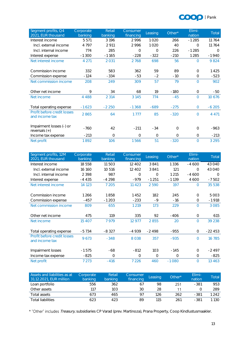

| Segment profits, Q4<br>2021, EUR thousand     | Corporate<br>banking | Retail<br>banking | Consumer<br>financing | Leasing  | Other*   | Elimi-<br>nation | Total    |
|-----------------------------------------------|----------------------|-------------------|-----------------------|----------|----------|------------------|----------|
| Interest income                               | 5 5 7 1              | 3196              | 2996                  | 1020     | 266      | $-1285$          | 11764    |
| Incl. external income                         | 4 7 9 7              | 2 9 1 1           | 2996                  | 1020     | 40       | $\Omega$         | 11764    |
| Incl. internal income                         | 774                  | 285               | $\Omega$              | $\Omega$ | 226      | $-1285$          | $\Omega$ |
| Interest expense                              | $-1300$              | $-1165$           | $-228$                | $-322$   | $-210$   | 1 2 8 5          | $-1940$  |
| Net interest income                           | 4 2 7 1              | 2 0 3 1           | 2768                  | 698      | 56       | $\Omega$         | 9824     |
| Commission income                             | 332                  | 583               | 362                   | 59       | 89       | $\Omega$         | 1425     |
| Commission expense                            | $-124$               | $-334$            | $-53$                 | $-2$     | $-10$    | $\circ$          | $-523$   |
| Net commission income                         | 208                  | 249               | 309                   | 57       | 79       | $\Omega$         | 902      |
| Other net income                              | 9                    | 34                | 68                    | 19       | $-180$   | $\Omega$         | $-50$    |
| Net income                                    | 4 4 8 8              | 2 3 1 4           | 3 1 4 5               | 774      | $-45$    | $\Omega$         | 10 6 7 6 |
| Total operating expense                       | $-1623$              | $-2250$           | $-1368$               | $-689$   | $-275$   | $\overline{0}$   | $-6205$  |
| Profit before credit losses<br>and income tax | 2865                 | 64                | 1777                  | 85       | $-320$   | $\Omega$         | 4 4 7 1  |
| Impairment losses (-) or<br>reversals $(+)$   | $-760$               | 42                | $-211$                | $-34$    | $\Omega$ | $\Omega$         | $-963$   |
| Income tax expense                            | $-213$               | $\Omega$          | $\Omega$              | $\Omega$ | $\Omega$ | $\Omega$         | $-213$   |
| Net profit                                    | 1892                 | 106               | 1566                  | 51       | $-320$   | $\Omega$         | 3 2 9 5  |

| Segment profits, 12M<br>2021, EUR thousand    | Corporate<br>banking | Retail<br>banking | Consumer<br>financing | Leasing  | Other*   | Elimi-<br>nation | Total    |
|-----------------------------------------------|----------------------|-------------------|-----------------------|----------|----------|------------------|----------|
| Interest income                               | 18558                | 11503             | 12 402                | 3841     | 1336     | $-4600$          | 43 040   |
| Incl. external income                         | 16 160               | 10516             | 12 4 0 2              | 3841     | 121      | $\Omega$         | 43 040   |
| Incl. internal income                         | 2 3 9 8              | 987               | $\Omega$              | $\Omega$ | 1 2 1 5  | $-4600$          | $\Omega$ |
| Interest expense                              | $-4435$              | $-4298$           | $-979$                | $-1251$  | $-1139$  | 4 600            | $-7502$  |
| Net interest income                           | 14 123               | 7 2 0 5           | 11 4 2 3              | 2590     | 197      | $\Omega$         | 35 538   |
|                                               |                      |                   |                       |          |          |                  |          |
| Commission income                             | 1266                 | 1858              | 1452                  | 182      | 245      | $\Omega$         | 5 0 0 3  |
| Commission expense                            | $-457$               | $-1203$           | $-233$                | $-9$     | $-16$    | 0                | $-1918$  |
| Net commission income                         | 809                  | 655               | 1 2 1 9               | 173      | 229      | $\Omega$         | 3 0 8 5  |
|                                               |                      |                   |                       |          |          |                  |          |
| Other net income                              | 475                  | 119               | 335                   | 92       | $-406$   | $\circ$          | 615      |
| Net income                                    | 15 4 0 7             | 7979              | 12 977                | 2855     | 20       | $\Omega$         | 39 238   |
|                                               |                      |                   |                       |          |          |                  |          |
| Total operating expense                       | $-5734$              | $-8327$           | -4 939                | $-2498$  | $-955$   | $\circ$          | $-22453$ |
| Profit before credit losses<br>and income tax | 9673                 | $-348$            | 8038                  | 357      | $-935$   | $\Omega$         | 16 785   |
| Impairment losses                             | $-1575$              | -68               | $-812$                | 103      | $-145$   | $\Omega$         | $-2497$  |
| Income tax expense                            | $-825$               | $\Omega$          | 0                     | $\circ$  | $\Omega$ | $\circ$          | $-825$   |
| Net profit                                    | 7 2 7 3              | $-416$            | 7 2 2 6               | 460      | $-1080$  | $\Omega$         | 13 4 6 3 |

| Assets and liabilities as at<br>31.12.2021, EUR million | Corporate<br>banking | Retail<br>banking | Consumer<br>financing | Leasing | Other* | Elimi-<br>nation | Total   |
|---------------------------------------------------------|----------------------|-------------------|-----------------------|---------|--------|------------------|---------|
| Loan portfolio                                          | 556                  | 362               |                       | 98      | 251    | $-381$           | 953     |
| Other assets                                            | 117                  | 103 <sub>1</sub>  | 30                    | 28      |        |                  | 289     |
| Total assets                                            | 673                  | 465               | 97                    | 126     | 262    | $-381$           | 1 2 4 2 |
| <b>Total liabilities</b>                                | 623                  | 423               | 89                    | 115     | 261    | -381             | 1 1 3 0 |

\* "Other" includes Treasury, subsidiaries CP Varad (prev. Martinoza), Prana Property, Coop Kindlustusmaakler.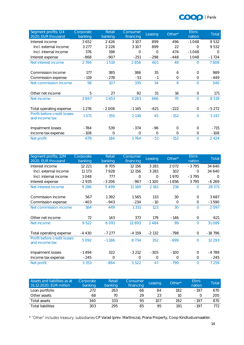

| Segment profits, Q4<br>2020, EUR thousand     | Corporate<br>banking | Retail<br>banking | Consumer<br>financing | Leasing | Other*   | Elimi-<br>nation | Total    |
|-----------------------------------------------|----------------------|-------------------|-----------------------|---------|----------|------------------|----------|
| Interest income                               | 3652                 | 2426              | 3 1 0 7               | 899     | 496      | $-1048$          | 9532     |
| Incl. external income                         | 3 2 7 7              | 2 2 2 8           | 3 1 0 7               | 899     | 22       | $\bigcap$        | 9532     |
| Incl. internal income                         | 376                  | 198               | $\overline{O}$        | $\circ$ | 474      | $-1048$          | $\Omega$ |
| Interest expense                              | $-868$               | $-907$            | $-251$                | $-298$  | $-448$   | 1048             | $-1724$  |
| Net interest income                           | 2784                 | 1519              | 2856                  | 601     | 48       | $\Omega$         | 7808     |
|                                               |                      |                   |                       |         |          |                  |          |
| Commission income                             | 177                  | 385               | 386                   | 35      | 6        | $\Omega$         | 989      |
| Commission expense                            | $-119$               | $-278$            | $-51$                 | $-1$    | $\circ$  | $\circ$          | $-449$   |
| Net commission income                         | 58                   | 107               | 335                   | 34      | 6        | $\Omega$         | 540      |
|                                               |                      |                   |                       |         |          |                  |          |
| Other net income                              | 5                    | 27                | 92                    | 31      | 16       | $\circ$          | 171      |
| Net income                                    | 2847                 | 1653              | 3 2 8 3               | 666     | 70       | $\Omega$         | 8519     |
|                                               |                      |                   |                       |         |          |                  |          |
| Total operating expense                       | $-1276$              | $-2008$           | $-1145$               | $-621$  | $-222$   | $\circ$          | $-5272$  |
| Profit before credit losses<br>and income tax | 1571                 | $-355$            | 2 1 3 8               | 45      | $-152$   | $\Omega$         | 3 2 4 7  |
| Impairment losses                             | $-784$               | 539               | $-374$                | -96     | $\Omega$ | $\Omega$         | $-715$   |
| Income tax expense                            | $-108$               | 0                 | 0                     | $\circ$ | $\circ$  | $\circ$          | $-108$   |
| Net profit                                    | 679                  | 184               | 1764                  | $-51$   | $-152$   | $\Omega$         | 2 4 2 4  |

| Segment profits, 12M<br>2020, EUR thousand    | Corporate<br>banking | Retail<br>banking | Consumer<br>financing | Leasing | Other*   | Elimi-<br>nation | Total     |
|-----------------------------------------------|----------------------|-------------------|-----------------------|---------|----------|------------------|-----------|
| Interest income                               | 12 2 2 1             | 8705              | 12 15 6               | 3 2 8 1 | 2072     | $-3795$          | 34 640    |
| Incl. external income                         | 11 173               | 7928              | 12 15 6               | 3 2 8 1 | 102      | $\Omega$         | 34 640    |
| Incl. internal income                         | 1048                 | 777               | 0                     | $\circ$ | 1970     | $-3795$          | $\bigcap$ |
| Interest expense                              | $-2935$              | $-3206$           | $-967$                | $-1100$ | $-1856$  | 3795             | $-6269$   |
| Net interest income                           | 9 2 8 6              | 5499              | 11 189                | 2 1 8 1 | 216      | $\Omega$         | 28 371    |
|                                               |                      |                   |                       |         |          |                  |           |
| Commission income                             | 567                  | 1392              | 1565                  | 133     | 30       | $\Omega$         | 3687      |
| Commission expense                            | $-403$               | $-943$            | $-234$                | $-10$   | $\Omega$ | $\circ$          | $-1590$   |
| Net commission income                         | 164                  | 449               | 1 3 3 1               | 123     | 30       | $\Omega$         | 2097      |
|                                               |                      |                   |                       |         |          |                  |           |
| Other net income                              | 72                   | 143               | 373                   | 179     | $-146$   | $\circ$          | 621       |
| Net income                                    | 9522                 | 6 0 9 1           | 12893                 | 2484    | 99       | $\Omega$         | 31 0 89   |
|                                               |                      |                   |                       |         |          |                  |           |
| Total operating expense                       | $-4430$              | $-7277$           | $-4159$               | $-2132$ | $-798$   | $\circ$          | $-18796$  |
| Profit before credit losses<br>and income tax | 5092                 | $-1186$           | 8734                  | 352     | $-699$   | $\Omega$         | 12 2 9 3  |
|                                               |                      |                   |                       |         |          |                  |           |
| Impairment losses                             | $-1494$              | 322               | $-3212$               | $-305$  | $-100$   | $\bigcap$        | $-4789$   |
| Income tax expense                            | $-245$               | $\Omega$          | 0                     | $\circ$ | $\Omega$ | $\circ$          | $-245$    |
| Net profit                                    | 3 3 5 3              | $-864$            | 5 5 2 2               | 47      | $-799$   | $\Omega$         | 7 2 5 9   |

| Assets and liabilities as at<br>31.12.2020, EUR million | Corporate<br>banking | Retail<br>banking | Consumer<br>financing | Leasing | Other* | Elimi-<br>nation | Total |
|---------------------------------------------------------|----------------------|-------------------|-----------------------|---------|--------|------------------|-------|
| Loan portfolio                                          | 272                  | 263               | 66                    | 84      | 182    | $-197$           | 670   |
| Other assets                                            | 68                   | 70                | 29                    | 23      | 10     |                  | 200   |
| Total assets                                            | 340                  | 333               | 95                    | 107     | 192    | $-197$           | 870   |
| <b>Total liabilities</b>                                | 303                  | 295               | 85                    | 95      | 191    | $-197$           | 772   |

\* "Other" includes treasury, subsidiaries CP Varad (prev. Martinoza), Prana Property, Coop Kindlustusmaakler.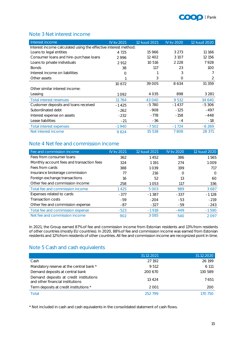

#### <span id="page-14-0"></span>Note 3 Net interest income

| Interest income                                                 | <b>IV kv 2021</b> | 12 kuud 2021 | IV kv 2020 | 12 kuud 2020 |
|-----------------------------------------------------------------|-------------------|--------------|------------|--------------|
| Interest income calculated using the effective interest method: |                   |              |            |              |
| Loans to legal entities                                         | 4 7 2 5           | 15 966       | 3 2 7 3    | 11 166       |
| Consumer loans and hire-purchase loans                          | 2996              | 12 4 0 2     | 3 1 0 7    | 12 15 6      |
| Loans to private individuals                                    | 2912              | 10 516       | 2 2 2 8    | 7928         |
| <b>Bonds</b>                                                    | 38                | 117          | 23         | 100          |
| Interest income on liabilities                                  | Ω                 |              | 3          | 7            |
| Other assets                                                    |                   | 3            | $\bigcap$  | 2            |
|                                                                 | 10672             | 39 005       | 8634       | 31 35 9      |
| Other similar interest income:                                  |                   |              |            |              |
| Leasing                                                         | 1092              | 4 0 3 5      | 898        | 3 2 8 1      |
| Total interest revenues                                         | 11764             | 43 040       | 9 5 3 2    | 34 640       |
| Customer deposits and loans received                            | $-1425$           | $-5780$      | $-1437$    | $-5306$      |
| Subordinated debt                                               | $-262$            | $-908$       | $-125$     | $-497$       |
| Interest expense on assets                                      | $-232$            | $-778$       | $-158$     | $-448$       |
| Lease liabilities                                               | $-21$             | -36          | $-4$       | $-18$        |
| Total interest expenses                                         | $-1940$           | $-7502$      | $-1724$    | $-6269$      |
| Net interest income                                             | 9824              | 35 538       | 7808       | 28 371       |

#### <span id="page-14-1"></span>Note 4 Net fee and commission income

| Fee and commission income                 | IV kv 2021 | 12 kuud 2021 | IV kv 2020 | 12 kuud 2020 |
|-------------------------------------------|------------|--------------|------------|--------------|
| Fees from consumer loans                  | 362        | 1452         | 386        | 1565         |
| Monthly account fees and transaction fees | 324        | 1 1 9 1      | 274        | 1009         |
| Fees from cards                           | 388        | 1039         | 199        | 717          |
| Insurance brokerage commission            | 77         | 216          |            | ∩            |
| Foreign exchange transactions             | 16         | 52           | 13         | 60           |
| Other fee and commission income           | 258        | 1053         | 117        | 336          |
| Total fee and commission income           | 1425       | 5 0 0 3      | 989        | 3687         |
| Expenses related to cards                 | $-377$     | $-1.387$     | $-337$     | $-1128$      |
| Transaction costs                         | -59        | $-204$       | $-53$      | $-219$       |
| Other fee and commission expense          | $-87$      | $-327$       | -59        | $-243$       |
| Total fee and commission expense          | $-523$     | $-1918$      | $-449$     | $-1590$      |
| Net fee and commission income             | 902        | 3085         | 540        | 2097         |

In 2021, the Group earned 87% of fee and commission income from Estonian residents and 13% from residents of other countries (mostly EU countries). In 2020, 88% of fee and commission income was earned from Estonian residents and 12% from residents of other countries. All fee and commission income are recognized point in time.

#### <span id="page-14-2"></span>Note 5 Cash and cash equivalents

|                                                                            | 31.12.2021 | 31.12.2020 |
|----------------------------------------------------------------------------|------------|------------|
| Cash                                                                       | 27 192     | 26 199     |
| Mandatory reserve at the central bank *                                    | 9512       | 6 1 1 1    |
| Demand deposits at central bank                                            | 200 670    | 130589     |
| Demand deposits at credit institutions<br>and other financial institutions | 13424      | 7651       |
| Term deposits at credit institutions *                                     | 2001       | 200        |
| Total                                                                      | 252799     | 70.750     |

\* Not included in cash and cash equivalents in the consolidated statement of cash flows.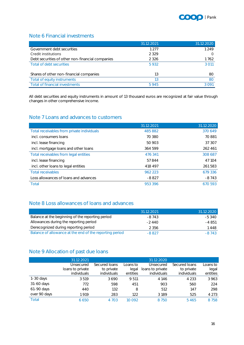

#### <span id="page-15-0"></span>Note 6 Financial investments

|                                                  | 31.12.2021 | 31.12.2020 |
|--------------------------------------------------|------------|------------|
| Government debt securities                       | 1 277      | 1 2 4 9    |
| Credit institutions                              | 2 3 2 9    |            |
| Debt securities of other non-financial companies | 2 3 2 6    | 1762       |
| Total of debt securities                         | 5932       | 3.011      |
| Shares of other non-financial companies          | 13         | 80         |
| Total of equity instruments                      | 13         | <b>8C</b>  |
| Total of financial investments                   | 5945       | 300.       |

All debt securities and equity instruments in amount of 13 thousand euros are recognized at fair value through changes in other comprehensive income.

#### <span id="page-15-1"></span>Note 7 Loans and advances to customers

|                                            | 31.12.2021 | 31.12.2020 |
|--------------------------------------------|------------|------------|
| Total receivables from private individuals | 485 882    | 370 649    |
| incl. consumers loans                      | 70 380     | 70881      |
| incl. lease financing                      | 50 903     | 37 307     |
| incl. mortgage loans and other loans       | 364 599    | 262 461    |
| Total receivables from legal entities      | 476 341    | 308 687    |
| incl. lease financing                      | 57844      | 47 104     |
| incl. other loans to legal entities        | 418 497    | 261 583    |
| <b>Total receivables</b>                   | 962 223    | 679 336    |
| Loss allowances of loans and advances      | $-8827$    | $-8743$    |
| Total                                      | 953396     | 670 593    |

#### <span id="page-15-2"></span>Note 8 Loss allowances of loans and advances

|                                                         | 31.12.2021 | 31.12.2020 |
|---------------------------------------------------------|------------|------------|
| Balance at the beginning of the reporting period        | $-8743$    | $-5.340$   |
| Allowances during the reporting period                  | $-2440$    | $-4851$    |
| Derecognized during reporting period                    | 2 3 5 6    | 448        |
| Balance of allowance at the end of the reporting period | $-8827$    | $-8743$    |

#### <span id="page-15-3"></span>Note 9 Allocation of past due loans

|              | 31.12.2021       |               |          | 31.12.2020       |               |          |
|--------------|------------------|---------------|----------|------------------|---------------|----------|
|              | Unsecured        | Secured Ioans | Loans to | Unsecured        | Secured Ioans | Loans to |
|              | loans to private | to private    | legal    | loans to private | to private    | legal    |
|              | individuals      | individuals   | entities | individuals      | individuals   | entities |
| $1-30$ days  | 3519             | 3690          | 9 5 1 1  | 4 1 4 6          | 4 2 3 3       | 3963     |
| 31-60 days   | 772              | 598           | 451      | 903              | 560           | 224      |
| 61-90 days   | 440              | 132           | 8        | 512              | 147           | 298      |
| over 90 days | 1919             | 283           | 122      | 3 1 8 9          | 525           | 4 2 7 3  |
| Total        | 6650             | 4 703         | 10 092   | 8 7 5 0          | 5465          | 8758     |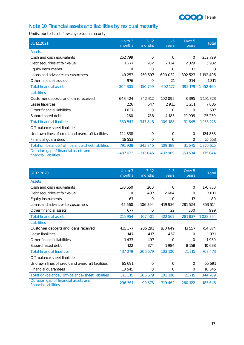

### <span id="page-16-0"></span>Note 10 Financial assets and liabilities by residual maturity

Undiscounted cash flows by residual maturity

| 31.12.2021                                                    | $Up$ to $3$<br>months | $3 - 12$<br>months | $1 - 5$<br>years | Over 5<br>years | Total         |
|---------------------------------------------------------------|-----------------------|--------------------|------------------|-----------------|---------------|
| <b>Assets</b>                                                 |                       |                    |                  |                 |               |
| Cash and cash equivalents                                     | 252799                | $\Omega$           | $\Omega$         | $\Omega$        | 252799        |
| Debt securities at fair value                                 | 1 2 7 7               | 202                | 2 1 2 4          | 2 3 2 9         | 5932          |
| Equity instruments                                            | $\circ$               | 0                  | $\Omega$         | 13              | 13            |
| Loans and advances to customers                               | 49 253                | 150 597            | 600 032          | 392 523         | 1192 405      |
| Other financial assets                                        | 976                   | 0                  | 21               | 314             | 1 3 1 1       |
| <b>Total financial assets</b>                                 | 304 305               | 150 799            | 602 177          | 395 179         | 1452460       |
| Liabilities                                                   |                       |                    |                  |                 |               |
| Customer deposits and loans received                          | 648 424               | 342 412            | 102 092          | 8 3 9 5         | 1 101 323     |
| Lease liabilities                                             | 226                   | 647                | 2 9 1 1          | 3 2 5 1         | 7035          |
| Other financial liabilities                                   | 1637                  | $\circ$            | $\circ$          | $\Omega$        | 1637          |
| Subordinated debt                                             | 260                   | 786                | 4 1 8 5          | 19 9 9 9        | 25 230        |
| <b>Total financial liabilities</b>                            | 650 547               | 343 845            | 109 188          | 31 645          | 1 1 3 5 2 2 5 |
| Off-balance sheet liabilities                                 |                       |                    |                  |                 |               |
| Undrawn lines of credit and overdraft facilities              | 124 838               | $\Omega$           | $\Omega$         | 0               | 124 838       |
| Financial guarantees                                          | 16 553                | 0                  | $\circ$          | 0               | 16 553        |
| Total on-balance / off-balance-sheet liabilities              | 791 938               | 343 845            | 109 188          | 31 645          | 1 276 616     |
| Duration gap of financial assets and<br>financial liabilities | $-487633$             | $-193046$          | 492 989          | 363 534         | 175 844       |

| 31.12.2020                                                    | $Up$ to $3$<br>months | $3 - 12$<br>months | $1 - 5$<br>years | Over 5<br>years | Total   |
|---------------------------------------------------------------|-----------------------|--------------------|------------------|-----------------|---------|
| <b>Assets</b>                                                 |                       |                    |                  |                 |         |
| Cash and cash equivalents                                     | 170 550               | 200                | $\Omega$         | $\circ$         | 170 750 |
| Debt securities at fair value                                 | $\circ$               | 407                | 2604             | $\Omega$        | 3 0 1 1 |
| Equity instruments                                            | 67                    | 0                  | 0                | 13              | 80      |
| Loans and advances to customers                               | 45 660                | 106 394            | 419 936          | 281524          | 853 514 |
| Other financial assets                                        | 677                   | $\Omega$           | 22               | 300             | 999     |
| <b>Total financial assets</b>                                 | 216 954               | 107 001            | 422 562          | 281 837         | 1028354 |
| Liabilities                                                   |                       |                    |                  |                 |         |
| Customer deposits and loans received                          | 435 377               | 205 291            | 100 649          | 13 557          | 754 874 |
| Lease liabilities                                             | 147                   | 417                | 467              | $\Omega$        | 1031    |
| Other financial liabilities                                   | 1433                  | 497                | $\circ$          | $\Omega$        | 1930    |
| Subordinated debt                                             | 122                   | 374                | 1984             | 8 1 5 8         | 10 638  |
| <b>Total financial liabilities</b>                            | 437 079               | 206 579            | 103 100          | 21 7 15         | 768 473 |
| Off-balance sheet liabilities                                 |                       |                    |                  |                 |         |
| Undrawn lines of credit and overdraft facilities              | 65 691                | $\Omega$           | $\Omega$         | $\circ$         | 65 691  |
| Financial guarantees                                          | 10 545                | $\Omega$           | $\Omega$         | $\Omega$        | 10545   |
| Total on-balance / off-balance-sheet liabilities              | 513 315               | 206 579            | 103 100          | 21 7 15         | 844 709 |
| Duration gap of financial assets and<br>financial liabilities | $-296361$             | $-99578$           | 319 462          | 260 122         | 183 645 |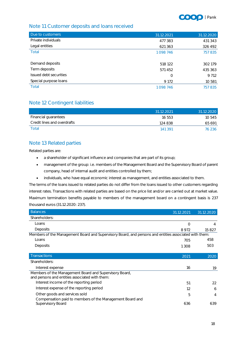

#### <span id="page-17-0"></span>Note 11 Customer deposits and loans received

| Due to customers       | 31.12.2021 | 31.12.2020 |
|------------------------|------------|------------|
| Private individuals    | 477 383    | 431 343    |
| Legal entities         | 621 363    | 326 492    |
| Total                  | 1098746    | 757835     |
| Demand deposits        | 518 122    | 302 179    |
| Term deposits          | 571 452    | 435 363    |
| Issued debt securities | 0          | 9 7 1 2    |
| Special purpose loans  | 9 1 7 2    | 10 581     |
| Total                  | 1098746    | 757835     |

#### <span id="page-17-1"></span>Note 12 Contingent liabilities

|                             | 31.12.2021 | 31.12.2020 |
|-----------------------------|------------|------------|
| Financial guarantees        | 16 553     | 10.545     |
| Credit lines and overdrafts | 124 838    | 65 691     |
| Total                       | 141 391    | 76 236     |

#### <span id="page-17-2"></span>Note 13 Related parties

Related parties are:

- a shareholder of significant influence and companies that are part of its group;
- management of the group: i.e. members of the Management Board and the Supervisory Board of parent company, head of internal audit and entities controlled by them;
- individuals, who have equal economic interest as management, and entities associated to them.

The terms of the loans issued to related parties do not differ from the loans issued to other customers regarding interest rates. Transactions with related parties are based on the price list and/or are carried out at market value. Maximum termination benefits payable to members of the management board on a contingent basis is 237 thousand euros (31.12.2020: 237).

<span id="page-17-3"></span>

| <b>Balances</b>                                                                                          | 31.12.2021 | 31.12.2020 |
|----------------------------------------------------------------------------------------------------------|------------|------------|
| Shareholders:                                                                                            |            |            |
| Loans                                                                                                    | O          | 4          |
| Deposits                                                                                                 | 8972       | 15827      |
| Members of the Management Board and Supervisory Board, and persons and entities associated with them:    |            |            |
| Loans                                                                                                    | 705        | 458        |
| Deposits                                                                                                 | 1 3 0 8    | 503        |
|                                                                                                          |            |            |
| <b>Transactions</b>                                                                                      | 2021       | 2020       |
| Shareholders:                                                                                            |            |            |
| Interest expense                                                                                         | 16         | 19         |
| Members of the Management Board and Supervisory Board,<br>and persons and entities associated with them: |            |            |
| Interest income of the reporting period                                                                  | 51         | 22         |
| Interest expense of the reporting period                                                                 | 12         | 6          |
| Other goods and services sold                                                                            | 5          | 4          |
| Compensation paid to members of the Management Board and<br>Supervisory Board                            | 636        | 639        |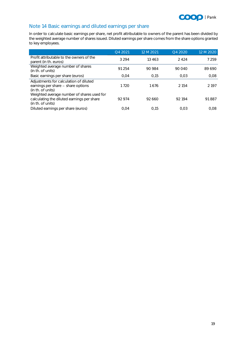

### Note 14 Basic earnings and diluted earnings per share

In order to calculate basic earnings per share, net profit attributable to owners of the parent has been divided by the weighted average number of shares issued. Diluted earnings per share comes from the share options granted to key employees.

|                                                                                                               | Q4 2021 | 12 M 2021 | Q4 2020 | 12 M 2020 |
|---------------------------------------------------------------------------------------------------------------|---------|-----------|---------|-----------|
| Profit attributable to the owners of the<br>parent (in th. euros)                                             | 3 2 9 4 | 13463     | 2424    | 7 259     |
| Weighted average number of shares<br>(in th. of units)                                                        | 91 254  | 90 984    | 90.040  | 89 690    |
| Basic earnings per share (euros)                                                                              | 0.04    | 0.15      | 0.03    | 0.08      |
| Adjustments for calculation of diluted<br>earnings per share - share options<br>(in th. of units)             | 1 7 2 0 | 1676      | 2 1 5 4 | 2 1 9 7   |
| Weighted average number of shares used for<br>calculating the diluted earnings per share<br>(in th. of units) | 92 974  | 92 660    | 92194   | 91887     |
| Diluted earnings per share (euros)                                                                            | 0.04    | 0.15      | 0.03    | 0.08      |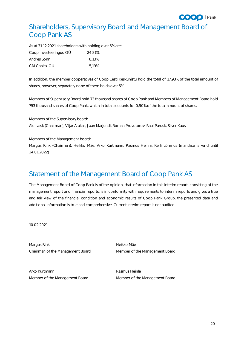

# <span id="page-19-0"></span>Shareholders, Supervisory Board and Management Board of Coop Pank AS

As at 31.12.2021 shareholders with holding over 5% are:

| Coop Investeeringud OÜ | 24.81% |
|------------------------|--------|
| Andres Sonn            | 8.13%  |
| CM Capital OÜ          | 5.19%  |

In addition, the member cooperatives of Coop Eesti Keskühistu hold the total of 17,93% of the total amount of shares, however, separately none of them holds over 5%.

Members of Supervisory Board hold 73 thousand shares of Coop Pank and Members of Management Board hold 753 thousand shares of Coop Pank, which in total accounts for 0,90% of the total amount of shares.

Members of the Supervisory board: Alo Ivask (Chairman), Viljar Arakas, Jaan Marjundi, Roman Provotorov, Raul Parusk, Silver Kuus

Members of the Management board:

Margus Rink (Chairman), Heikko Mäe, Arko Kurtmann, Rasmus Heinla, Kerli Lõhmus (mandate is valid until 24.01.2022)

# <span id="page-19-1"></span>Statement of the Management Board of Coop Pank AS

The Management Board of Coop Pank is of the opinion, that information in this interim report, consisting of the management report and financial reports, is in conformity with requirements to interim reports and gives a true and fair view of the financial condition and economic results of Coop Pank Group, the presented data and additional information is true and comprehensive. Current interim report is not audited.

10.02.2021

Margus Rink **Margus Rink** Heikko Mäe Chairman of the Management Board Member of the Management Board

Arko Kurtmann **Rasmus Heinla** Member of the Management Board Member of the Management Board